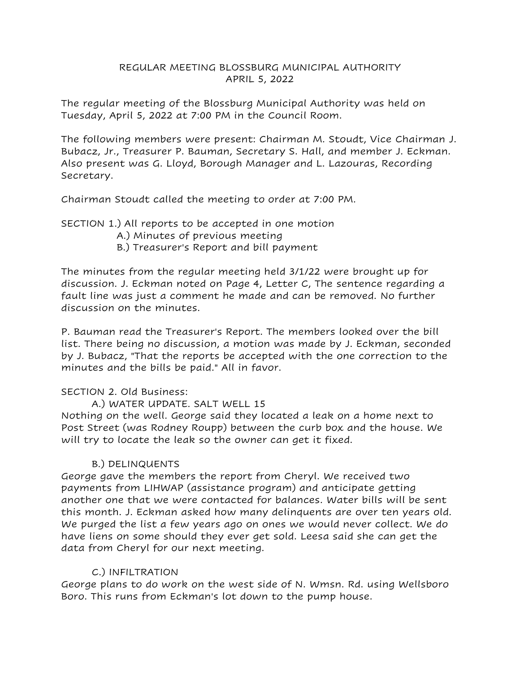## REGULAR MEETING BLOSSBURG MUNICIPAL AUTHORITY APRIL 5, 2022

The regular meeting of the Blossburg Municipal Authority was held on Tuesday, April 5, 2022 at 7:00 PM in the Council Room.

The following members were present: Chairman M. Stoudt, Vice Chairman J. Bubacz, Jr., Treasurer P. Bauman, Secretary S. Hall, and member J. Eckman. Also present was G. Lloyd, Borough Manager and L. Lazouras, Recording Secretary.

Chairman Stoudt called the meeting to order at 7:00 PM.

SECTION 1.) All reports to be accepted in one motion

A.) Minutes of previous meeting

B.) Treasurer's Report and bill payment

The minutes from the regular meeting held 3/1/22 were brought up for discussion. J. Eckman noted on Page 4, Letter C, The sentence regarding a fault line was just a comment he made and can be removed. No further discussion on the minutes.

P. Bauman read the Treasurer's Report. The members looked over the bill list. There being no discussion, a motion was made by J. Eckman, seconded by J. Bubacz, "That the reports be accepted with the one correction to the minutes and the bills be paid." All in favor.

# SECTION 2. Old Business:

A.) WATER UPDATE. SALT WELL 15

Nothing on the well. George said they located a leak on a home next to Post Street (was Rodney Roupp) between the curb box and the house. We will try to locate the leak so the owner can get it fixed.

# B.) DELINQUENTS

George gave the members the report from Cheryl. We received two payments from LIHWAP (assistance program) and anticipate getting another one that we were contacted for balances. Water bills will be sent this month. J. Eckman asked how many delinquents are over ten years old. We purged the list a few years ago on ones we would never collect. We do have liens on some should they ever get sold. Leesa said she can get the data from Cheryl for our next meeting.

# C.) INFILTRATION

George plans to do work on the west side of N. Wmsn. Rd. using Wellsboro Boro. This runs from Eckman's lot down to the pump house.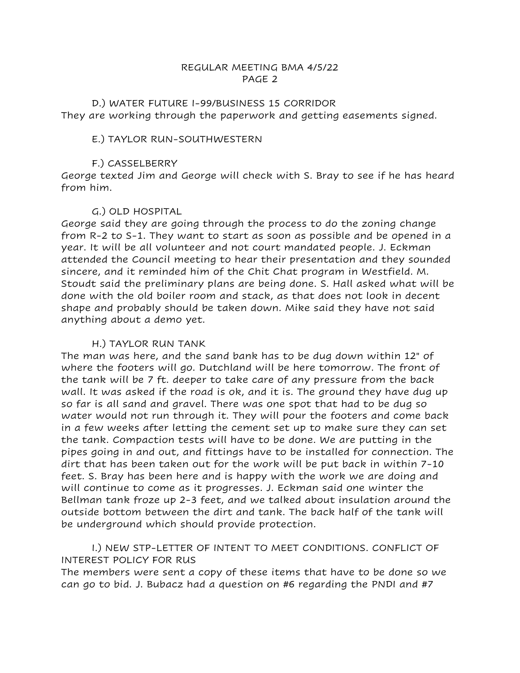D.) WATER FUTURE I-99/BUSINESS 15 CORRIDOR They are working through the paperwork and getting easements signed.

#### E.) TAYLOR RUN-SOUTHWESTERN

#### F.) CASSELBERRY

George texted Jim and George will check with S. Bray to see if he has heard from him.

#### G.) OLD HOSPITAL

George said they are going through the process to do the zoning change from R-2 to S-1. They want to start as soon as possible and be opened in a year. It will be all volunteer and not court mandated people. J. Eckman attended the Council meeting to hear their presentation and they sounded sincere, and it reminded him of the Chit Chat program in Westfield. M. Stoudt said the preliminary plans are being done. S. Hall asked what will be done with the old boiler room and stack, as that does not look in decent shape and probably should be taken down. Mike said they have not said anything about a demo yet.

### H.) TAYLOR RUN TANK

The man was here, and the sand bank has to be dug down within 12" of where the footers will go. Dutchland will be here tomorrow. The front of the tank will be 7 ft. deeper to take care of any pressure from the back wall. It was asked if the road is ok, and it is. The ground they have dug up so far is all sand and gravel. There was one spot that had to be dug so water would not run through it. They will pour the footers and come back in a few weeks after letting the cement set up to make sure they can set the tank. Compaction tests will have to be done. We are putting in the pipes going in and out, and fittings have to be installed for connection. The dirt that has been taken out for the work will be put back in within 7-10 feet. S. Bray has been here and is happy with the work we are doing and will continue to come as it progresses. J. Eckman said one winter the Bellman tank froze up 2-3 feet, and we talked about insulation around the outside bottom between the dirt and tank. The back half of the tank will be underground which should provide protection.

I.) NEW STP-LETTER OF INTENT TO MEET CONDITIONS. CONFLICT OF INTEREST POLICY FOR RUS

The members were sent a copy of these items that have to be done so we can go to bid. J. Bubacz had a question on #6 regarding the PNDI and #7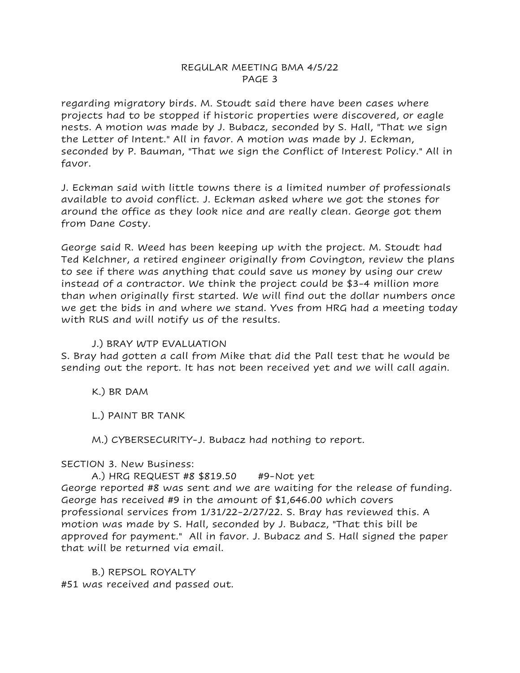regarding migratory birds. M. Stoudt said there have been cases where projects had to be stopped if historic properties were discovered, or eagle nests. A motion was made by J. Bubacz, seconded by S. Hall, "That we sign the Letter of Intent." All in favor. A motion was made by J. Eckman, seconded by P. Bauman, "That we sign the Conflict of Interest Policy." All in favor.

J. Eckman said with little towns there is a limited number of professionals available to avoid conflict. J. Eckman asked where we got the stones for around the office as they look nice and are really clean. George got them from Dane Costy.

George said R. Weed has been keeping up with the project. M. Stoudt had Ted Kelchner, a retired engineer originally from Covington, review the plans to see if there was anything that could save us money by using our crew instead of a contractor. We think the project could be \$3-4 million more than when originally first started. We will find out the dollar numbers once we get the bids in and where we stand. Yves from HRG had a meeting today with RUS and will notify us of the results.

### J.) BRAY WTP EVALUATION

S. Bray had gotten a call from Mike that did the Pall test that he would be sending out the report. It has not been received yet and we will call again.

K.) BR DAM

L.) PAINT BR TANK

M.) CYBERSECURITY-J. Bubacz had nothing to report.

# SECTION 3. New Business:

A.) HRG REQUEST #8 \$819.50 #9-Not yet George reported #8 was sent and we are waiting for the release of funding. George has received #9 in the amount of \$1,646.00 which covers professional services from 1/31/22-2/27/22. S. Bray has reviewed this. A motion was made by S. Hall, seconded by J. Bubacz, "That this bill be approved for payment." All in favor. J. Bubacz and S. Hall signed the paper that will be returned via email.

B.) REPSOL ROYALTY #51 was received and passed out.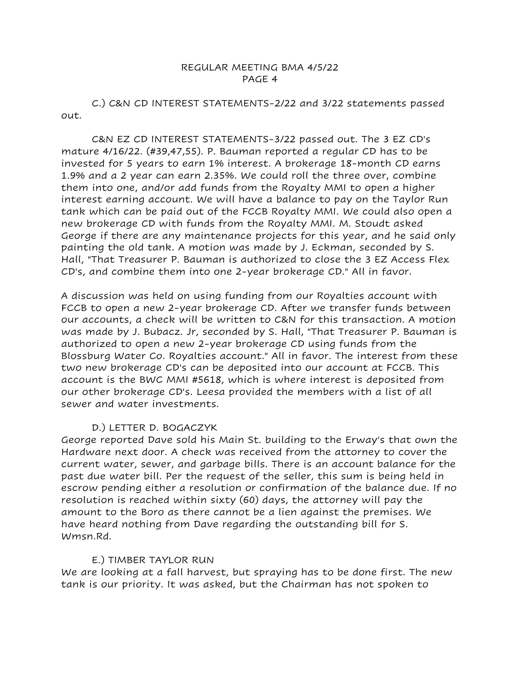C.) C&N CD INTEREST STATEMENTS-2/22 and 3/22 statements passed out.

C&N EZ CD INTEREST STATEMENTS-3/22 passed out. The 3 EZ CD's mature 4/16/22. (#39,47,55). P. Bauman reported a regular CD has to be invested for 5 years to earn 1% interest. A brokerage 18-month CD earns 1.9% and a 2 year can earn 2.35%. We could roll the three over, combine them into one, and/or add funds from the Royalty MMI to open a higher interest earning account. We will have a balance to pay on the Taylor Run tank which can be paid out of the FCCB Royalty MMI. We could also open a new brokerage CD with funds from the Royalty MMI. M. Stoudt asked George if there are any maintenance projects for this year, and he said only painting the old tank. A motion was made by J. Eckman, seconded by S. Hall, "That Treasurer P. Bauman is authorized to close the 3 EZ Access Flex CD's, and combine them into one 2-year brokerage CD." All in favor.

A discussion was held on using funding from our Royalties account with FCCB to open a new 2-year brokerage CD. After we transfer funds between our accounts, a check will be written to C&N for this transaction. A motion was made by J. Bubacz. Jr, seconded by S. Hall, "That Treasurer P. Bauman is authorized to open a new 2-year brokerage CD using funds from the Blossburg Water Co. Royalties account." All in favor. The interest from these two new brokerage CD's can be deposited into our account at FCCB. This account is the BWC MMI #5618, which is where interest is deposited from our other brokerage CD's. Leesa provided the members with a list of all sewer and water investments.

# D.) LETTER D. BOGACZYK

George reported Dave sold his Main St. building to the Erway's that own the Hardware next door. A check was received from the attorney to cover the current water, sewer, and garbage bills. There is an account balance for the past due water bill. Per the request of the seller, this sum is being held in escrow pending either a resolution or confirmation of the balance due. If no resolution is reached within sixty (60) days, the attorney will pay the amount to the Boro as there cannot be a lien against the premises. We have heard nothing from Dave regarding the outstanding bill for S. Wmsn.Rd.

### E.) TIMBER TAYLOR RUN

We are looking at a fall harvest, but spraying has to be done first. The new tank is our priority. It was asked, but the Chairman has not spoken to